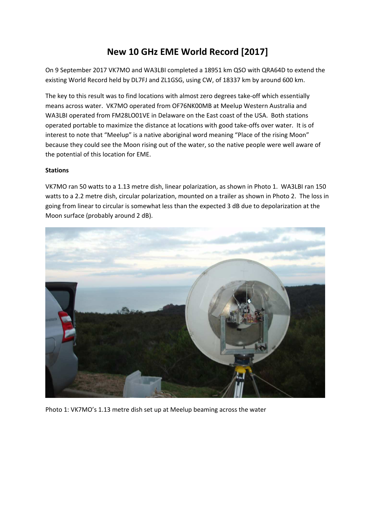# **New 10 GHz EME World Record [2017]**

On 9 September 2017 VK7MO and WA3LBI completed a 18951 km QSO with QRA64D to extend the existing World Record held by DL7FJ and ZL1GSG, using CW, of 18337 km by around 600 km.

The key to this result was to find locations with almost zero degrees take-off which essentially means across water. VK7MO operated from OF76NK00MB at Meelup Western Australia and WA3LBI operated from FM28LO01VE in Delaware on the East coast of the USA. Both stations operated portable to maximize the distance at locations with good take-offs over water. It is of interest to note that "Meelup" is a native aboriginal word meaning "Place of the rising Moon" because they could see the Moon rising out of the water, so the native people were well aware of the potential of this location for EME.

## **Stations**

VK7MO ran 50 watts to a 1.13 metre dish, linear polarization, as shown in Photo 1. WA3LBI ran 150 watts to a 2.2 metre dish, circular polarization, mounted on a trailer as shown in Photo 2. The loss in going from linear to circular is somewhat less than the expected 3 dB due to depolarization at the Moon surface (probably around 2 dB).



Photo 1: VK7MO's 1.13 metre dish set up at Meelup beaming across the water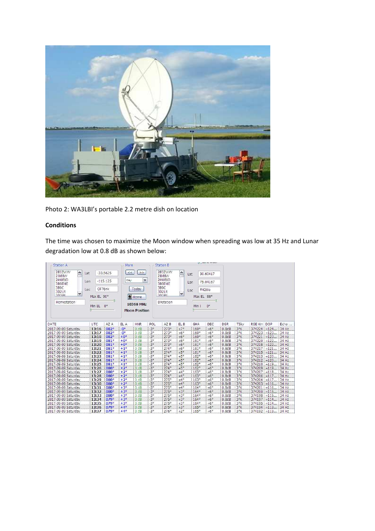

Photo 2: WA3LBI's portable 2.2 metre dish on location

# **Conditions**

The time was chosen to maximize the Moon window when spreading was low at 35 Hz and Lunar degradation low at 0.8 dB as shown below:

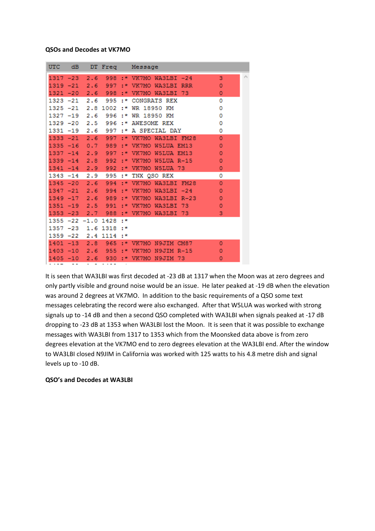#### **QSOs and Decodes at VK7MO**

| <b>UTC</b>  | dB    |                     | DT Freq    |     | Message                      |              |   |
|-------------|-------|---------------------|------------|-----|------------------------------|--------------|---|
| $1317 - 23$ |       | 2.6                 | 998        |     | :* VK7MO WA3LBI -24          | 3            | A |
|             |       | 1319 -21 2.6 997    |            | ÷*. | VK7MO WA3LBI RRR             | $\mathbf 0$  |   |
|             |       | $1321 - 20$ 2.6 998 |            | ÷*  | VK7MO WA3LBI<br>-73          | 0            |   |
| 1323 -21    |       | 2.6                 | 995        | ÷*  | <b>CONGRATS REX</b>          | o            |   |
| $1325 - 21$ |       |                     | 2.8 1002   | ÷*  | WR 18950 KM                  | o            |   |
| $1327 - 19$ |       | 2.6                 | 996        | ÷*  | WR 18950 KM                  | 0            |   |
|             |       | 1329 -20 2.5 996    |            | ÷*. | <b>AWESOME REX</b>           | 0            |   |
| $1331 - 19$ |       | 2.6                 | 997        | ÷*  | A SPECIAL DAY                | 0            |   |
| 1333        | $-21$ | 2.6                 | 997        | 土米  | VK7MO WA3LBI FM28            | 0            |   |
| 1335        | $-16$ |                     | 0.7989     |     | :* VK7MO W5LUA EM13          | $\mathbf 0$  |   |
| $1337 - 14$ |       | 2.9                 | 997        | 土米  | VK7MO W5LUA EM13             | $\mathbf{O}$ |   |
| $1339 - 14$ |       | 2.8                 | 992        | ÷*  | VK7MO<br>W5LUA R-15          | 0            |   |
| $1341 - 14$ |       |                     | 2.9 992    | ÷∗  | VK7MO W5LUA 73               | o            |   |
| $1343 - 14$ |       | 2.9                 | 995        | :*  | TNX QSO REX                  | 0            |   |
| $1345 - 20$ |       | 2.6                 | 994        | ÷*  | VK7MO WA3LBI FM28            | $\mathbf 0$  |   |
|             |       | $1347 - 21$ 2.6     | 994        | ÷*  | VK7MO<br>$WASLBI -24$        | o            |   |
| 1349        | $-17$ | 2.6                 | 989        | ÷∗  | WA3LBI R-23<br>VK7MO         | 0            |   |
| $1351 - 19$ |       | $2.5 -$             | 991        | 土米  | VK7MO<br><b>WA3LBI</b><br>73 | 0            |   |
| $1353 - 23$ |       | 2.7                 | 988        |     | :* VK7MO WA3LBI 73           | 3            |   |
|             |       | 1355 -22 -1.0 1428  |            | ÷*  |                              |              |   |
| $1357 - 23$ |       |                     | 1.6 1318   | ÷*  |                              |              |   |
| $1359 - 22$ |       | 2.4                 | $1114 :$ * |     |                              |              |   |
| $1401 - 13$ |       | 2.8                 | $965 : *$  |     | VK7MO N9JIM CM87             | $\Omega$     |   |
|             |       | $1403 - 10$ 2.6     | 955        | 土米  | VK7MO N9JIM R-15             | o            |   |
| $1405 - 10$ |       | 2.6                 | 930        |     | :* VK7MO N9JIM 73            | o            |   |
|             |       |                     |            |     |                              |              |   |

It is seen that WA3LBI was first decoded at -23 dB at 1317 when the Moon was at zero degrees and only partly visible and ground noise would be an issue. He later peaked at -19 dB when the elevation was around 2 degrees at VK7MO. In addition to the basic requirements of a QSO some text messages celebrating the record were also exchanged. After that W5LUA was worked with strong signals up to -14 dB and then a second QSO completed with WA3LBI when signals peaked at -17 dB dropping to -23 dB at 1353 when WA3LBI lost the Moon. It is seen that it was possible to exchange messages with WA3LBI from 1317 to 1353 which from the Moonsked data above is from zero degrees elevation at the VK7MO end to zero degrees elevation at the WA3LBI end. After the window to WA3LBI closed N9JIM in California was worked with 125 watts to his 4.8 metre dish and signal levels up to -10 dB.

### **QSO's and Decodes at WA3LBI**